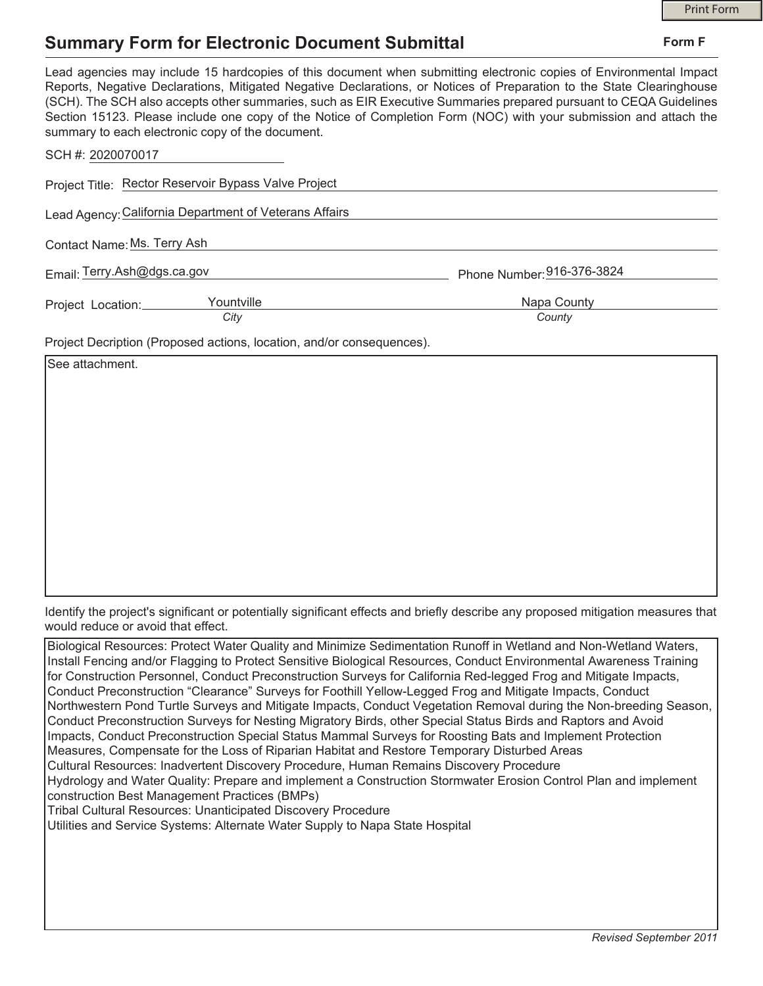## Print Form

## **Summary Form for Electronic Document Submittal**

| Lead agencies may include 15 hardcopies of this document when submitting electronic copies of Environmental Impact<br>Reports, Negative Declarations, Mitigated Negative Declarations, or Notices of Preparation to the State Clearinghouse<br>(SCH). The SCH also accepts other summaries, such as EIR Executive Summaries prepared pursuant to CEQA Guidelines<br>Section 15123. Please include one copy of the Notice of Completion Form (NOC) with your submission and attach the<br>summary to each electronic copy of the document. |                            |
|-------------------------------------------------------------------------------------------------------------------------------------------------------------------------------------------------------------------------------------------------------------------------------------------------------------------------------------------------------------------------------------------------------------------------------------------------------------------------------------------------------------------------------------------|----------------------------|
| SCH #: 2020070017                                                                                                                                                                                                                                                                                                                                                                                                                                                                                                                         |                            |
| Project Title: Rector Reservoir Bypass Valve Project                                                                                                                                                                                                                                                                                                                                                                                                                                                                                      |                            |
| Lead Agency: California Department of Veterans Affairs                                                                                                                                                                                                                                                                                                                                                                                                                                                                                    |                            |
| Contact Name: Ms. Terry Ash                                                                                                                                                                                                                                                                                                                                                                                                                                                                                                               |                            |
| Email: Terry.Ash@dgs.ca.gov                                                                                                                                                                                                                                                                                                                                                                                                                                                                                                               | Phone Number: 916-376-3824 |
| Yountville<br>Project Location:                                                                                                                                                                                                                                                                                                                                                                                                                                                                                                           | Napa County                |
| City                                                                                                                                                                                                                                                                                                                                                                                                                                                                                                                                      | County                     |
| Project Decription (Proposed actions, location, and/or consequences).                                                                                                                                                                                                                                                                                                                                                                                                                                                                     |                            |
| See attachment.                                                                                                                                                                                                                                                                                                                                                                                                                                                                                                                           |                            |

Identify the project's significant or potentially significant effects and briefly describe any proposed mitigation measures that would reduce or avoid that effect.

| Biological Resources: Protect Water Quality and Minimize Sedimentation Runoff in Wetland and Non-Wetland Waters,    |
|---------------------------------------------------------------------------------------------------------------------|
| Install Fencing and/or Flagging to Protect Sensitive Biological Resources, Conduct Environmental Awareness Training |
| for Construction Personnel, Conduct Preconstruction Surveys for California Red-legged Frog and Mitigate Impacts,    |
| Conduct Preconstruction "Clearance" Surveys for Foothill Yellow-Legged Frog and Mitigate Impacts, Conduct           |
| Northwestern Pond Turtle Surveys and Mitigate Impacts, Conduct Vegetation Removal during the Non-breeding Season,   |
| Conduct Preconstruction Surveys for Nesting Migratory Birds, other Special Status Birds and Raptors and Avoid       |
| Impacts, Conduct Preconstruction Special Status Mammal Surveys for Roosting Bats and Implement Protection           |
| Measures, Compensate for the Loss of Riparian Habitat and Restore Temporary Disturbed Areas                         |
| Cultural Resources: Inadvertent Discovery Procedure, Human Remains Discovery Procedure                              |
| Hydrology and Water Quality: Prepare and implement a Construction Stormwater Erosion Control Plan and implement     |
| construction Best Management Practices (BMPs)                                                                       |
| <b>Tribal Cultural Resources: Unanticipated Discovery Procedure</b>                                                 |
| Utilities and Service Systems: Alternate Water Supply to Napa State Hospital                                        |
|                                                                                                                     |
|                                                                                                                     |
|                                                                                                                     |